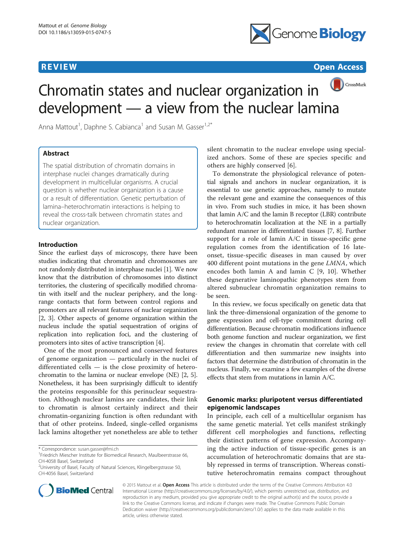

**REVIEW CONSULTANT CONTROL** 

# CrossMark Chromatin states and nuclear organization in development — a view from the nuclear lamina

Anna Mattout<sup>1</sup>, Daphne S. Cabianca<sup>1</sup> and Susan M. Gasser<sup>1,2\*</sup>

# Abstract

The spatial distribution of chromatin domains in interphase nuclei changes dramatically during development in multicellular organisms. A crucial question is whether nuclear organization is a cause or a result of differentiation. Genetic perturbation of lamina–heterochromatin interactions is helping to reveal the cross-talk between chromatin states and nuclear organization.

#### Introduction

Since the earliest days of microscopy, there have been studies indicating that chromatin and chromosomes are not randomly distributed in interphase nuclei [\[1\]](#page-11-0). We now know that the distribution of chromosomes into distinct territories, the clustering of specifically modified chromatin with itself and the nuclear periphery, and the longrange contacts that form between control regions and promoters are all relevant features of nuclear organization [[2, 3\]](#page-11-0). Other aspects of genome organization within the nucleus include the spatial sequestration of origins of replication into replication foci, and the clustering of promoters into sites of active transcription [\[4](#page-11-0)].

One of the most pronounced and conserved features of genome organization — particularly in the nuclei of differentiated cells — is the close proximity of heterochromatin to the lamina or nuclear envelope (NE) [\[2, 5](#page-11-0)]. Nonetheless, it has been surprisingly difficult to identify the proteins responsible for this perinuclear sequestration. Although nuclear lamins are candidates, their link to chromatin is almost certainly indirect and their chromatin-organizing function is often redundant with that of other proteins. Indeed, single-celled organisms lack lamins altogether yet nonetheless are able to tether

\* Correspondence: [susan.gasser@fmi.ch](mailto:susan.gasser@fmi.ch) <sup>1</sup>

<sup>&</sup>lt;sup>2</sup>University of Basel, Faculty of Natural Sciences, Klingelbergstrasse 50, CH-4056 Basel, Switzerland



silent chromatin to the nuclear envelope using specialized anchors. Some of these are species specific and others are highly conserved [[6\]](#page-11-0).

To demonstrate the physiological relevance of potential signals and anchors in nuclear organization, it is essential to use genetic approaches, namely to mutate the relevant gene and examine the consequences of this in vivo. From such studies in mice, it has been shown that lamin A/C and the lamin B receptor (LBR) contribute to heterochromatin localization at the NE in a partially redundant manner in differentiated tissues [[7](#page-11-0), [8\]](#page-11-0). Further support for a role of lamin A/C in tissue-specific gene regulation comes from the identification of 16 lateonset, tissue-specific diseases in man caused by over 400 different point mutations in the gene LMNA, which encodes both lamin A and lamin C [[9, 10\]](#page-11-0). Whether these degnerative laminopathic phenotypes stem from altered subnuclear chromatin organization remains to be seen.

In this review, we focus specifically on genetic data that link the three-dimensional organization of the genome to gene expression and cell-type commitment during cell differentiation. Because chromatin modifications influence both genome function and nuclear organization, we first review the changes in chromatin that correlate with cell differentiation and then summarize new insights into factors that determine the distribution of chromatin in the nucleus. Finally, we examine a few examples of the diverse effects that stem from mutations in lamin A/C.

# Genomic marks: pluripotent versus differentiated epigenomic landscapes

In principle, each cell of a multicellular organism has the same genetic material. Yet cells manifest strikingly different cell morphologies and functions, reflecting their distinct patterns of gene expression. Accompanying the active induction of tissue-specific genes is an accumulation of heterochromatic domains that are stably repressed in terms of transcription. Whereas constitutive heterochromatin remains compact throughout

© 2015 Mattout et al. Open Access This article is distributed under the terms of the Creative Commons Attribution 4.0 International License [\(http://creativecommons.org/licenses/by/4.0/\)](http://creativecommons.org/licenses/by/4.0/), which permits unrestricted use, distribution, and reproduction in any medium, provided you give appropriate credit to the original author(s) and the source, provide a link to the Creative Commons license, and indicate if changes were made. The Creative Commons Public Domain Dedication waiver ([http://creativecommons.org/publicdomain/zero/1.0/\)](http://creativecommons.org/publicdomain/zero/1.0/) applies to the data made available in this article, unless otherwise stated.

<sup>&</sup>lt;sup>1</sup>Friedrich Miescher Institute for Biomedical Research, Maulbeerstrasse 66, CH-4058 Basel, Switzerland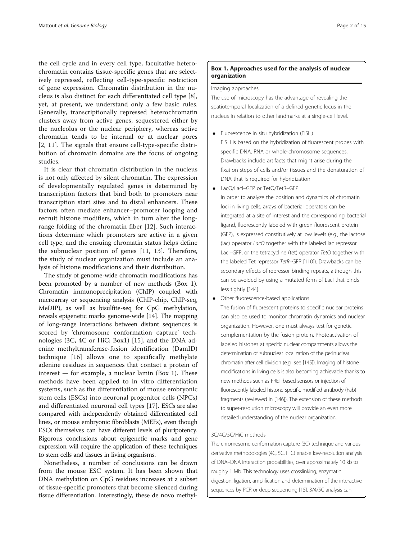the cell cycle and in every cell type, facultative heterochromatin contains tissue-specific genes that are selectively repressed, reflecting cell-type-specific restriction of gene expression. Chromatin distribution in the nucleus is also distinct for each differentiated cell type [\[8](#page-11-0)], yet, at present, we understand only a few basic rules. Generally, transcriptionally repressed heterochromatin clusters away from active genes, sequestered either by the nucleolus or the nuclear periphery, whereas active chromatin tends to be internal or at nuclear pores [[2, 11\]](#page-11-0). The signals that ensure cell-type-specific distribution of chromatin domains are the focus of ongoing studies.

It is clear that chromatin distribution in the nucleus is not only affected by silent chromatin. The expression of developmentally regulated genes is determined by transcription factors that bind both to promoters near transcription start sites and to distal enhancers. These factors often mediate enhancer–promoter looping and recruit histone modifiers, which in turn alter the longrange folding of the chromatin fiber [[12\]](#page-11-0). Such interactions determine which promoters are active in a given cell type, and the ensuing chromatin status helps define the subnuclear position of genes [\[11](#page-11-0), [13\]](#page-11-0). Therefore, the study of nuclear organization must include an analysis of histone modifications and their distribution.

The study of genome-wide chromatin modifications has been promoted by a number of new methods (Box 1). Chromatin immunoprecipitation (ChIP) coupled with microarray or sequencing analysis (ChIP-chip, ChIP-seq, MeDIP), as well as bisulfite-seq for CpG methylation, reveals epigenetic marks genome-wide [\[14](#page-11-0)]. The mapping of long-range interactions between distant sequences is scored by 'chromosome conformation capture' technologies (3C, 4C or HiC; Box1) [\[15](#page-11-0)], and the DNA adenine methyltransferase-fusion identification (DamID) technique [[16\]](#page-11-0) allows one to specifically methylate adenine residues in sequences that contact a protein of interest  $-$  for example, a nuclear lamin (Box 1). These methods have been applied to in vitro differentiation systems, such as the differentiation of mouse embryonic stem cells (ESCs) into neuronal progenitor cells (NPCs) and differentiated neuronal cell types [[17\]](#page-11-0). ESCs are also compared with independently obtained differentiated cell lines, or mouse embryonic fibroblasts (MEFs), even though ESCs themselves can have different levels of pluripotency. Rigorous conclusions about epigenetic marks and gene expression will require the application of these techniques to stem cells and tissues in living organisms.

Nonetheless, a number of conclusions can be drawn from the mouse ESC system. It has been shown that DNA methylation on CpG residues increases at a subset of tissue-specific promoters that become silenced during tissue differentiation. Interestingly, these de novo methyl-

# Box 1. Approaches used for the analysis of nuclear organization

Imaging approaches

The use of microscopy has the advantage of revealing the spatiotemporal localization of a defined genetic locus in the nucleus in relation to other landmarks at a single-cell level.

• Fluorescence in situ hybridization (FISH)

FISH is based on the hybridization of fluorescent probes with specific DNA, RNA or whole-chromosome sequences. Drawbacks include artifacts that might arise during the fixation steps of cells and/or tissues and the denaturation of DNA that is required for hybridization.

LacO/LacI–GFP or TetO/TetR–GFP

In order to analyze the position and dynamics of chromatin loci in living cells, arrays of bacterial operators can be integrated at a site of interest and the corresponding bacterial ligand, fluorescently labeled with green fluorescent protein (GFP), is expressed constitutively at low levels (e.g., the lactose (lac) operator LacO together with the labeled lac repressor LacI–GFP, or the tetracycline (tet) operator TetO together with the labeled Tet repressor TetR–GFP [\[110](#page-13-0)]). Drawbacks can be secondary effects of repressor binding repeats, although this can be avoided by using a mutated form of LacI that binds less tightly [[144\]](#page-14-0).

• Other fluorescence-based applications

The fusion of fluorescent proteins to specific nuclear proteins can also be used to monitor chromatin dynamics and nuclear organization. However, one must always test for genetic complementation by the fusion protein. Photoactivation of labeled histones at specific nuclear compartments allows the determination of subnuclear localization of the perinuclear chromatin after cell division (e.g., see [\[145\]](#page-14-0)). Imaging of histone modifications in living cells is also becoming achievable thanks to new methods such as FRET-based sensors or injection of fluorescently labeled histone-specific modified antibody (Fab) fragments (reviewed in [[146\]](#page-14-0)). The extension of these methods to super-resolution microscopy will provide an even more detailed understanding of the nuclear organization.

#### 3C/4C/5C/HiC methods

The chromosome conformation capture (3C) technique and various derivative methodologies (4C, 5C, HiC) enable low-resolution analysis of DNA–DNA interaction probabilities, over approximately 10 kb to roughly 1 Mb. This technology uses crosslinking, enzymatic digestion, ligation, amplification and determination of the interactive sequences by PCR or deep sequencing [[15\]](#page-11-0). 3/4/5C analysis can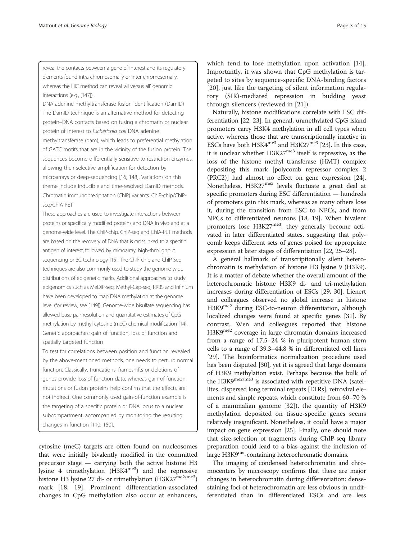reveal the contacts between a gene of interest and its regulatory elements found intra-chromosomally or inter-chromosomally, whereas the HiC method can reveal 'all versus all' genomic interactions (e.g., [\[147](#page-14-0)]).

DNA adenine methyltransferase-fusion identification (DamID) The DamID technique is an alternative method for detecting protein–DNA contacts based on fusing a chromatin or nuclear protein of interest to Escherichia coli DNA adenine methyltransferase (dam), which leads to preferential methylation of GATC motifs that are in the vicinity of the fusion protein. The sequences become differentially sensitive to restriction enzymes, allowing their selective amplification for detection by microarrays or deep-sequencing [[16,](#page-11-0) [148\]](#page-14-0). Variations on this theme include inducible and time-resolved DamID methods. Chromatin immunoprecipitation (ChIP) variants: ChIP-chip/ChIPseq/ChIA-PET

These approaches are used to investigate interactions between proteins or specifically modified proteins and DNA in vivo and at a genome-wide level. The ChIP-chip, ChIP-seq and ChIA-PET methods are based on the recovery of DNA that is crosslinked to a specific antigen of interest, followed by microarray, high-throughput sequencing or 3C technology [\[15\]](#page-11-0). The ChIP-chip and ChIP-Seq techniques are also commonly used to study the genome-wide distributions of epigenetic marks. Additional approaches to study epigenomics such as MeDIP-seq, Methyl-Cap-seq, RRBS and Infinium have been developed to map DNA methylation at the genome level (for review, see [\[149\]](#page-14-0)). Genome-wide bisulfate sequencing has allowed base-pair resolution and quantitative estimates of CpG methylation by methyl-cytosine (meC) chemical modification [[14](#page-11-0)]. Genetic approaches: gain of function, loss of function and spatially targeted function

To test for correlations between position and function revealed by the above-mentioned methods, one needs to perturb normal function. Classically, truncations, frameshifts or deletions of genes provide loss-of-function data, whereas gain-of-function mutations or fusion proteins help confirm that the effects are not indirect. One commonly used gain-of-function example is the targeting of a specific protein or DNA locus to a nuclear subcompartment, accompanied by monitoring the resulting changes in function [\[110,](#page-13-0) [150\]](#page-14-0).

cytosine (meC) targets are often found on nucleosomes that were initially bivalently modified in the committed precursor stage — carrying both the active histone H3 lysine 4 trimethylation  $(H3K4^{me3})$  and the repressive histone H3 lysine 27 di- or trimethylation (H3K27me2/me3) mark [[18, 19](#page-11-0)]. Prominent differentiation-associated changes in CpG methylation also occur at enhancers,

which tend to lose methylation upon activation [\[14](#page-11-0)]. Importantly, it was shown that CpG methylation is targeted to sites by sequence-specific DNA-binding factors [[20\]](#page-12-0), just like the targeting of silent information regulatory (SIR)-mediated repression in budding yeast through silencers (reviewed in [[21](#page-12-0)]).

Naturally, histone modifications correlate with ESC differentiation [\[22, 23](#page-12-0)]. In general, unmethylated CpG island promoters carry H3K4 methylation in all cell types when active, whereas those that are transcriptionally inactive in ESCs have both H3K4<sup>me3</sup> and H3K27<sup>me3</sup> [[23](#page-12-0)]. In this case, it is unclear whether H3K27me3 itself is repressive, as the loss of the histone methyl transferase (HMT) complex depositing this mark [polycomb repressor complex 2 (PRC2)] had almost no effect on gene expression [[24](#page-12-0)]. Nonetheless, H3K27me3 levels fluctuate a great deal at specific promoters during ESC differentiation — hundreds of promoters gain this mark, whereas as many others lose it, during the transition from ESC to NPCs, and from NPCs to differentiated neurons [\[18](#page-11-0), [19](#page-11-0)]. When bivalent promoters lose H3K27me3, they generally become activated in later differentiated states, suggesting that polycomb keeps different sets of genes poised for appropriate expression at later stages of differentiation [\[22, 25](#page-12-0)–[28](#page-12-0)].

A general hallmark of transcriptionally silent heterochromatin is methylation of histone H3 lysine 9 (H3K9). It is a matter of debate whether the overall amount of the heterochromatic histone H3K9 di- and tri-methylation increases during differentiation of ESCs [\[29](#page-12-0), [30\]](#page-12-0). Lienert and colleagues observed no global increase in histone H3K9<sup>me2</sup> during ESC-to-neuron differentiation, although localized changes were found at specific genes [\[31\]](#page-12-0). By contrast, Wen and colleagues reported that histone H3K9<sup>me2</sup> coverage in large chromatin domains increased from a range of 17.5–24 % in pluripotent human stem cells to a range of 39.3–44.8 % in differentiated cell lines [[29](#page-12-0)]. The bioinformatics normalization procedure used has been disputed [\[30](#page-12-0)], yet it is agreed that large domains of H3K9 methylation exist. Perhaps because the bulk of the H3K9me2/me3 is associated with repetitive DNA (satellites, dispersed long terminal repeats [LTRs], retroviral elements and simple repeats, which constitute from 60–70 % of a mammalian genome [\[32](#page-12-0)]), the quantity of H3K9 methylation deposited on tissue-specific genes seems relatively insignificant. Nonetheless, it could have a major impact on gene expression [\[25\]](#page-12-0). Finally, one should note that size-selection of fragments during ChIP-seq library preparation could lead to a bias against the inclusion of large H3K9<sup>me</sup>-containing heterochromatic domains.

The imaging of condensed heterochromatin and chromocenters by microscopy confirms that there are major changes in heterochromatin during differentiation: densestaining foci of heterochromatin are less obvious in undifferentiated than in differentiated ESCs and are less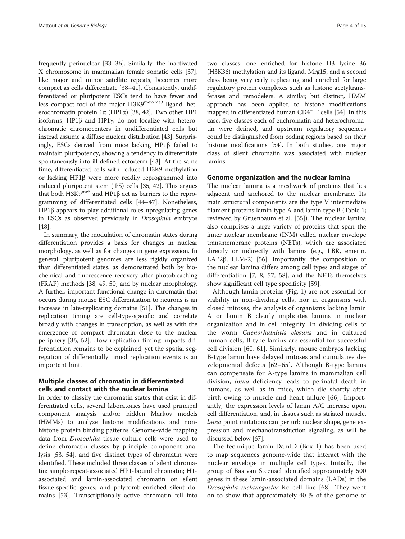frequently perinuclear [\[33](#page-12-0)–[36](#page-12-0)]. Similarly, the inactivated X chromosome in mammalian female somatic cells [[37](#page-12-0)], like major and minor satellite repeats, becomes more compact as cells differentiate [[38](#page-12-0)–[41\]](#page-12-0). Consistently, undifferentiated or pluripotent ESCs tend to have fewer and less compact foci of the major H3K9me2/me3 ligand, heterochromatin protein  $1α$  (HP1α) [[38](#page-12-0), [42\]](#page-12-0). Two other HP1 isoforms, HP1β and HP1γ, do not localize with heterochromatic chromocenters in undifferentiated cells but instead assume a diffuse nuclear distribution [[43](#page-12-0)]. Surprisingly, ESCs derived from mice lacking HP1β failed to maintain pluripotency, showing a tendency to differentiate spontaneously into ill-defined ectoderm [\[43](#page-12-0)]. At the same time, differentiated cells with reduced H3K9 methylation or lacking HP1β were more readily reprogrammed into induced pluripotent stem (iPS) cells [[35](#page-12-0), [42\]](#page-12-0). This argues that both H3K9 $me<sup>3</sup>$  and HP1β act as barriers to the reprogramming of differentiated cells [\[44](#page-12-0)–[47](#page-12-0)]. Nonetheless, HP1β appears to play additional roles upregulating genes in ESCs as observed previously in Drosophila embryos [[48](#page-12-0)].

In summary, the modulation of chromatin states during differentiation provides a basis for changes in nuclear morphology, as well as for changes in gene expression. In general, pluripotent genomes are less rigidly organized than differentiated states, as demonstrated both by biochemical and fluorescence recovery after photobleaching (FRAP) methods [[38](#page-12-0), [49](#page-12-0), [50](#page-12-0)] and by nuclear morphology. A further, important functional change in chromatin that occurs during mouse ESC differentiation to neurons is an increase in late-replicating domains [[51](#page-12-0)]. The changes in replication timing are cell-type-specific and correlate broadly with changes in transcription, as well as with the emergence of compact chromatin close to the nuclear periphery [\[36](#page-12-0), [52](#page-12-0)]. How replication timing impacts differentiation remains to be explained, yet the spatial segregation of differentially timed replication events is an important hint.

# Multiple classes of chromatin in differentiated cells and contact with the nuclear lamina

In order to classify the chromatin states that exist in differentiated cells, several laboratories have used principal component analysis and/or hidden Markov models (HMMs) to analyze histone modifications and nonhistone protein binding patterns. Genome-wide mapping data from Drosophila tissue culture cells were used to define chromatin classes by principle component analysis [[53, 54\]](#page-12-0), and five distinct types of chromatin were identified. These included three classes of silent chromatin: simple-repeat-associated HP1-bound chromatin; H1 associated and lamin-associated chromatin on silent tissue-specific genes; and polycomb-enriched silent domains [[53\]](#page-12-0). Transcriptionally active chromatin fell into

two classes: one enriched for histone H3 lysine 36 (H3K36) methylation and its ligand, Mrg15, and a second class being very early replicating and enriched for large regulatory protein complexes such as histone acetyltransferases and remodelers. A similar, but distinct, HMM approach has been applied to histone modifications mapped in differentiated human  $CD4^+$  T cells [[54\]](#page-12-0). In this case, five classes each of euchromatin and heterochromatin were defined, and upstream regulatory sequences could be distinguished from coding regions based on their histone modifications [[54\]](#page-12-0). In both studies, one major class of silent chromatin was associated with nuclear lamins.

#### Genome organization and the nuclear lamina

The nuclear lamina is a meshwork of proteins that lies adjacent and anchored to the nuclear membrane. Its main structural components are the type V intermediate filament proteins lamin type A and lamin type B (Table [1](#page-4-0); reviewed by Gruenbaum et al. [\[55](#page-12-0)]). The nuclear lamina also comprises a large variety of proteins that span the inner nuclear membrane (INM) called nuclear envelope transmembrane proteins (NETs), which are associated directly or indirectly with lamins (e.g., LBR, emerin, LAP2β, LEM-2) [[56](#page-12-0)]. Importantly, the composition of the nuclear lamina differs among cell types and stages of differentiation [\[7](#page-11-0), [8,](#page-11-0) [57](#page-12-0), [58\]](#page-12-0), and the NETs themselves show significant cell type specificity [[59\]](#page-12-0).

Although lamin proteins (Fig. [1](#page-4-0)) are not essential for viability in non-dividing cells, nor in organisms with closed mitoses, the analysis of organisms lacking lamin A or lamin B clearly implicates lamins in nuclear organization and in cell integrity. In dividing cells of the worm Caenorhabditis elegans and in cultured human cells, B-type lamins are essential for successful cell division [[60, 61\]](#page-12-0). Similarly, mouse embryos lacking B-type lamin have delayed mitoses and cumulative developmental defects [\[62](#page-12-0)–[65\]](#page-12-0). Although B-type lamins can compensate for A-type lamins in mammalian cell division, lmna deficiency leads to perinatal death in humans, as well as in mice, which die shortly after birth owing to muscle and heart failure [[66\]](#page-12-0). Importantly, the expression levels of lamin A/C increase upon cell differentiation, and, in tissues such as striated muscle, lmna point mutations can perturb nuclear shape, gene expression and mechanotransduction signaling, as will be discussed below [\[67](#page-12-0)].

The technique lamin-DamID (Box 1) has been used to map sequences genome-wide that interact with the nuclear envelope in multiple cell types. Initially, the group of Bas van Steensel identified approximately 500 genes in these lamin-associated domains (LADs) in the Drosophila melanogaster Kc cell line [[68\]](#page-12-0). They went on to show that approximately 40 % of the genome of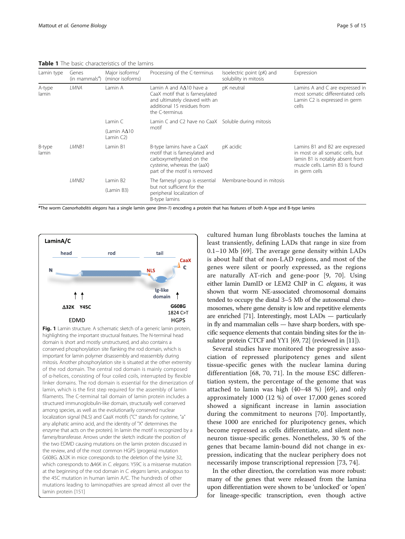<span id="page-4-0"></span>**Table 1** The basic characteristics of the lamins

| Lamin type      | Genes<br>(in mammals <sup>a</sup> ) | Major isoforms/<br>(minor isoforms) | Processing of the C-terminus                                                                                                                           | Isoelectric point (pK) and<br>solubility in mitosis | Expression                                                                                                                                                 |
|-----------------|-------------------------------------|-------------------------------------|--------------------------------------------------------------------------------------------------------------------------------------------------------|-----------------------------------------------------|------------------------------------------------------------------------------------------------------------------------------------------------------------|
| A-type<br>lamin | LMNA                                | Lamin A                             | Lamin A and $AA10$ have a<br>CaaX motif that is farnesylated<br>and ultimately cleaved with an<br>additional 15 residues from<br>the C-terminus        | pK neutral                                          | Lamins A and C are expressed in<br>most somatic differentiated cells<br>Lamin C2 is expressed in germ<br>cells                                             |
|                 |                                     | Lamin C                             | Lamin C and C2 have no CaaX Soluble during mitosis<br>motif                                                                                            |                                                     |                                                                                                                                                            |
|                 |                                     | (Lamin $A\Delta$ 10<br>Lamin C2)    |                                                                                                                                                        |                                                     |                                                                                                                                                            |
| B-type<br>lamin | LMNB1                               | Lamin B1                            | B-type lamins have a CaaX<br>motif that is farnesylated and<br>carboxymethylated on the<br>cysteine, whereas the (aaX)<br>part of the motif is removed | pK acidic                                           | Lamins B1 and B2 are expressed<br>in most or all somatic cells, but<br>lamin B1 is notably absent from<br>muscle cells. Lamin B3 is found<br>in germ cells |
|                 | I MNB2                              | Lamin B2                            | The farnesyl group is essential<br>but not sufficient for the<br>peripheral localization of<br>B-type lamins                                           | Membrane-bound in mitosis                           |                                                                                                                                                            |
|                 |                                     | (Lamin B3)                          |                                                                                                                                                        |                                                     |                                                                                                                                                            |

<sup>a</sup>The worm Caenorhabditis elegans has a single lamin gene (Imn-1) encoding a protein that has features of both A-type and B-type lamins



Fig. 1 Lamin structure. A schematic sketch of a generic lamin protein, highlighting the important structural features. The N-terminal head domain is short and mostly unstructured, and also contains a conserved phosphorylation site flanking the rod domain, which is important for lamin polymer disassembly and reassembly during mitosis. Another phosphorylation site is situated at the other extremity of the rod domain. The central rod domain is mainly composed of α-helices, consisting of four coiled coils, interrupted by flexible linker domains. The rod domain is essential for the dimerization of lamin, which is the first step required for the assembly of lamin filaments. The C-terminal tail domain of lamin protein includes a structured immunoglobulin-like domain, structurally well conserved among species, as well as the evolutionarily conserved nuclear localization signal (NLS) and CaaX motifs ("C" stands for cysteine, "a" any aliphatic amino acid, and the identity of "X" determines the enzyme that acts on the protein). In lamin the motif is recognized by a farnesyltransferase. Arrows under the sketch indicate the position of the two EDMD causing mutations on the lamin protein discussed in the review, and of the most common HGPS (progeria) mutation G608G. Δ32K in mice corresponds to the deletion of the lysine 32, which corresponds to Δ46K in C. elegans. Y59C is a missense mutation at the beginning of the rod domain in C. elegans lamin, analogous to the 45C mutation in human lamin A/C. The hundreds of other mutations leading to laminopathies are spread almost all over the lamin protein [\[151](#page-14-0)]

cultured human lung fibroblasts touches the lamina at least transiently, defining LADs that range in size from 0.1–10 Mb [\[69](#page-12-0)]. The average gene density within LADs is about half that of non-LAD regions, and most of the genes were silent or poorly expressed, as the regions are naturally AT-rich and gene-poor [\[9](#page-11-0), [70\]](#page-12-0). Using either lamin DamID or LEM2 ChIP in C. elegans, it was shown that worm NE-associated chromosomal domains tended to occupy the distal 3–5 Mb of the autosomal chromosomes, where gene density is low and repetitive elements are enriched [[71](#page-13-0)]. Interestingly, most LADs — particularly in fly and mammalian cells — have sharp borders, with specific sequence elements that contain binding sites for the in-sulator protein CTCF and YY1 [\[69,](#page-12-0) [72\]](#page-13-0) (reviewed in [[11\]](#page-11-0)).

Several studies have monitored the progressive association of repressed pluripotency genes and silent tissue-specific genes with the nuclear lamina during differentiation [[68, 70,](#page-12-0) [71](#page-13-0)]. In the mouse ESC differentiation system, the percentage of the genome that was attached to lamin was high (40–48 %) [[69\]](#page-12-0), and only approximately 1000 (12 %) of over 17,000 genes scored showed a significant increase in lamin association during the commitment to neurons [[70\]](#page-12-0). Importantly, these 1000 are enriched for pluripotency genes, which become repressed as cells differentiate, and silent nonneuron tissue-specific genes. Nonetheless, 30 % of the genes that became lamin-bound did not change in expression, indicating that the nuclear periphery does not necessarily impose transcriptional repression [[73, 74\]](#page-13-0).

In the other direction, the correlation was more robust: many of the genes that were released from the lamina upon differentiation were shown to be 'unlocked' or 'open' for lineage-specific transcription, even though active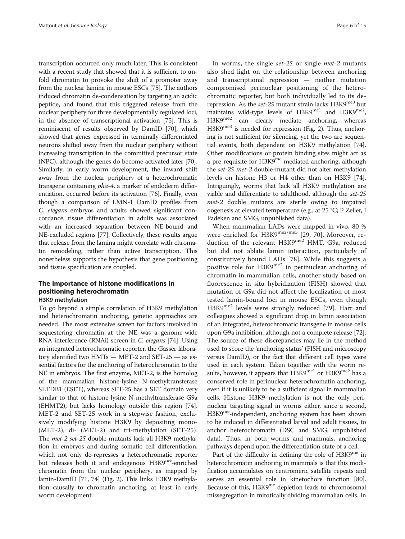transcription occurred only much later. This is consistent with a recent study that showed that it is sufficient to unfold chromatin to provoke the shift of a promoter away from the nuclear lamina in mouse ESCs [[75](#page-13-0)]. The authors induced chromatin de-condensation by targeting an acidic peptide, and found that this triggered release from the nuclear periphery for three developmentally regulated loci, in the absence of transcriptional activation [[75\]](#page-13-0). This is reminiscent of results observed by DamID [[70](#page-12-0)], which showed that genes expressed in terminally differentiated neurons shifted away from the nuclear periphery without increasing transcription in the committed precursor state (NPC), although the genes do become activated later [[70](#page-12-0)]. Similarly, in early worm development, the inward shift away from the nuclear periphery of a heterochromatic transgene containing pha-4, a marker of endoderm differentiation, occurred before its activation [\[76\]](#page-13-0). Finally, even though a comparison of LMN-1 DamID profiles from C. elegans embryos and adults showed significant concordance, tissue differentiation in adults was associated with an increased separation between NE-bound and NE-excluded regions [[77](#page-13-0)]. Collectively, these results argue that release from the lamina might correlate with chromatin remodeling, rather than active transcription. This nonetheless supports the hypothesis that gene positioning and tissue specification are coupled.

# The importance of histone modifications in positioning heterochromatin H3K9 methylation

To go beyond a simple correlation of H3K9 methylation and heterochromatin anchoring, genetic approaches are needed. The most extensive screen for factors involved in sequestering chromatin at the NE was a genome-wide RNA interference (RNAi) screen in C. elegans [\[74](#page-13-0)]. Using an integrated heterochromatic reporter, the Gasser laboratory identified two HMTs — MET-2 and SET-25 — as essential factors for the anchoring of heterochromatin to the NE in embryos. The first enzyme, MET-2, is the homolog of the mammalian histone-lysine N-methyltransferase SETDB1 (ESET), whereas SET-25 has a SET domain very similar to that of histone-lysine N-methyltransferase G9a (EHMT2), but lacks homology outside this region [[74](#page-13-0)]. MET-2 and SET-25 work in a stepwise fashion, exclusively modifying histone H3K9 by depositing mono- (MET-2), di- (MET-2) and tri-methylation (SET-25). The met-2 set-25 double-mutants lack all H3K9 methylation in embryos and during somatic cell differentiation, which not only de-represses a heterochromatic reporter but releases both it and endogenous H3K9me-enriched chromatin from the nuclear periphery, as mapped by lamin-DamID [\[71, 74\]](#page-13-0) (Fig. [2](#page-6-0)). This links H3K9 methylation causally to chromatin anchoring, at least in early worm development.

In worms, the single set-25 or single met-2 mutants also shed light on the relationship between anchoring and transcriptional repression — neither mutation compromised perinuclear positioning of the heterochromatic reporter, but both individually led to its derepression. As the set-25 mutant strain lacks  $H3K9^{me3}$  but maintains wild-type levels of H3K9me1 and H3K9me2, H3K9<sup>me2</sup> can clearly mediate anchoring, whereas H3K9me3 is needed for repression (Fig. [2](#page-6-0)). Thus, anchoring is not sufficient for silencing, yet the two are sequential events, both dependent on H3K9 methylation [[74](#page-13-0)]. Other modifications or protein binding sites might act as a pre-requisite for H3K9<sup>me</sup>-mediated anchoring, although the set-25 met-2 double-mutant did not alter methylation levels on histone H3 or H4 other than on H3K9 [[74](#page-13-0)]. Intriguingly, worms that lack all H3K9 methylation are viable and differentiate to adulthood, although the set-25 met-2 double mutants are sterile owing to impaired oogenesis at elevated temperature (e.g., at 25 °C; P Zeller, J Padeken and SMG, unpublished data).

When mammalian LADs were mapped in vivo, 80 % were enriched for H3K9me2/me3 [\[29](#page-12-0), [70](#page-12-0)]. Moreover, reduction of the relevant H3K9me2 HMT, G9a, reduced but did not ablate lamin interaction, particularly of constitutively bound LADs [[78](#page-13-0)]. While this suggests a positive role for H3K9<sup>me2</sup> in perinuclear anchoring of chromatin in mammalian cells, another study based on fluorescence in situ hybridization (FISH) showed that mutation of G9a did not affect the localization of most tested lamin-bound loci in mouse ESCs, even though H3K9<sup>me2</sup> levels were strongly reduced [[79\]](#page-13-0). Harr and colleagues showed a significant drop in lamin association of an integrated, heterochromatic transgene in mouse cells upon G9a inhibition, although not a complete release [[72](#page-13-0)]. The source of these discrepancies may lie in the method used to score the 'anchoring status' (FISH and microscopy versus DamID), or the fact that different cell types were used in each system. Taken together with the worm results, however, it appears that H3K9me1 or H3K9me2 has a conserved role in perinuclear heterochromatin anchoring, even if it is unlikely to be a sufficient signal in mammalian cells. Histone H3K9 methylation is not the only perinuclear targeting signal in worms either, since a second, H3K9<sup>me</sup>-independent, anchoring system has been shown to be induced in differentiated larval and adult tissues, to anchor heterochromatin (DSC and SMG, unpublished data). Thus, in both worms and mammals, anchoring pathways depend upon the differentiation state of a cell.

Part of the difficulty in defining the role of H3K9me in heterochromatin anchoring in mammals is that this modification accumulates on centromeric satellite repeats and serves an essential role in kinetochore function [[80](#page-13-0)]. Because of this, H3K9<sup>me</sup> depletion leads to chromosomal missegregation in mitotically dividing mammalian cells. In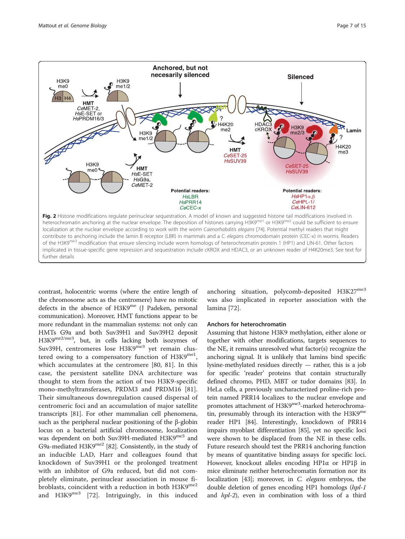<span id="page-6-0"></span>

contrast, holocentric worms (where the entire length of the chromosome acts as the centromere) have no mitotic defects in the absence of H3K9<sup>me</sup> (J Padeken, personal communication). Moreover, HMT functions appear to be more redundant in the mammalian systems: not only can HMTs G9a and both Suv39H1 and Suv39H2 deposit H3K9<sup>me2/me3</sup>, but, in cells lacking both isozymes of Suv39H, centromeres lose H3K9me3 yet remain clustered owing to a compensatory function of H3K9me1, which accumulates at the centromere [[80](#page-13-0), [81\]](#page-13-0). In this case, the persistent satellite DNA architecture was thought to stem from the action of two H3K9-specific mono-methyltransferases, PRDM3 and PRDM16 [[81](#page-13-0)]. Their simultaneous downregulation caused dispersal of centromeric foci and an accumulation of major satellite transcripts [[81\]](#page-13-0). For other mammalian cell phenomena, such as the peripheral nuclear positioning of the β-globin locus on a bacterial artificial chromosome, localization was dependent on both Suv39H-mediated H3K9me3 and G9a-mediated H3K9me2 [\[82\]](#page-13-0). Consistently, in the study of an inducible LAD, Harr and colleagues found that knockdown of Suv39H1 or the prolonged treatment with an inhibitor of G9a reduced, but did not completely eliminate, perinuclear association in mouse fibroblasts, coincident with a reduction in both H3K9me2 and H3K9<sup>me3</sup> [\[72](#page-13-0)]. Intriguingly, in this induced

anchoring situation, polycomb-deposited H3K27me3 was also implicated in reporter association with the lamina [[72\]](#page-13-0).

#### Anchors for heterochromatin

Assuming that histone H3K9 methylation, either alone or together with other modifications, targets sequences to the NE, it remains unresolved what factor(s) recognize the anchoring signal. It is unlikely that lamins bind specific lysine-methylated residues directly — rather, this is a job for specific 'reader' proteins that contain structurally defined chromo, PHD, MBT or tudor domains [[83](#page-13-0)]. In HeLa cells, a previously uncharacterized proline-rich protein named PRR14 localizes to the nuclear envelope and promotes attachment of H3K9me3-marked heterochromatin, presumably through its interaction with the H3K9<sup>me</sup> reader HP1 [\[84\]](#page-13-0). Interestingly, knockdown of PRR14 impairs myoblast differentiation [\[85\]](#page-13-0), yet no specific loci were shown to be displaced from the NE in these cells. Future research should test the PRR14 anchoring function by means of quantitative binding assays for specific loci. However, knockout alleles encoding HP1α or HP1β in mice eliminate neither heterochromatin formation nor its localization [[43](#page-12-0)]; moreover, in C. elegans embryos, the double deletion of genes encoding HP1 homologs (hpl-1 and hpl-2), even in combination with loss of a third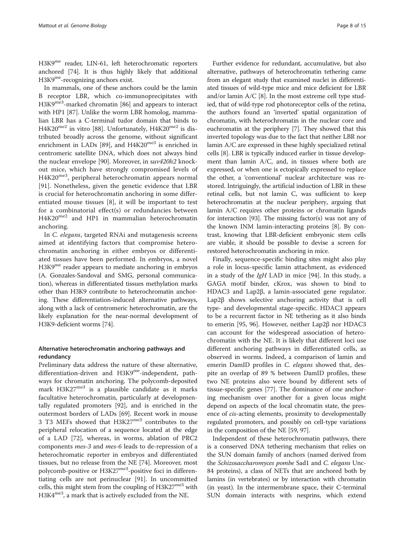H3K9<sup>me</sup> reader, LIN-61, left heterochromatic reporters anchored [\[74\]](#page-13-0). It is thus highly likely that additional H3K9<sup>me</sup>-recognizing anchors exist.

In mammals, one of these anchors could be the lamin B receptor LBR, which co-immunoprecipitates with H3K9<sup>me3</sup>-marked chromatin [[86](#page-13-0)] and appears to interact with HP1 [[87](#page-13-0)]. Unlike the worm LBR homolog, mammalian LBR has a C-terminal tudor domain that binds to  $H4K20^{me2}$  in vitro [\[88\]](#page-13-0). Unfortunately,  $H4K20^{me2}$  is distributed broadly across the genome, without significant enrichment in LADs [[89\]](#page-13-0), and H4K20<sup>me3</sup> is enriched in centromeric satellite DNA, which does not always bind the nuclear envelope [[90\]](#page-13-0). Moreover, in suv420h2 knockout mice, which have strongly compromised levels of H4K20me3, peripheral heterochromatin appears normal [[91\]](#page-13-0). Nonetheless, given the genetic evidence that LBR is crucial for heterochromatin anchoring in some differentiated mouse tissues [\[8](#page-11-0)], it will be important to test for a combinatorial effect(s) or redundancies between H4K20me2 and HP1 in mammalian heterochromatin anchoring.

In C. elegans, targeted RNAi and mutagenesis screens aimed at identifying factors that compromise heterochromatin anchoring in either embryos or differentiated tissues have been performed. In embryos, a novel H3K9<sup>me</sup> reader appears to mediate anchoring in embryos (A. Gonzales-Sandoval and SMG, personal communication), whereas in differentiated tissues methylation marks other than H3K9 contribute to heterochromatin anchoring. These differentiation-induced alternative pathways, along with a lack of centromeric heterochromatin, are the likely explanation for the near-normal development of H3K9-deficient worms [\[74](#page-13-0)].

### Alternative heterochromatin anchoring pathways and redundancy

Preliminary data address the nature of these alternative, differentiation-driven and H3K9<sup>me</sup>-independent, pathways for chromatin anchoring. The polycomb-deposited mark H3K27<sup>me3</sup> is a plausible candidate as it marks facultative heterochromatin, particularly at developmentally regulated promoters [\[92](#page-13-0)], and is enriched in the outermost borders of LADs [\[69](#page-12-0)]. Recent work in mouse 3 T3 MEFs showed that H3K27me3 contributes to the peripheral relocation of a sequence located at the edge of a LAD [[72](#page-13-0)], whereas, in worms, ablation of PRC2 components mes-3 and mes-6 leads to de-repression of a heterochromatic reporter in embryos and differentiated tissues, but no release from the NE [[74\]](#page-13-0). Moreover, most polycomb-positive or H3K27<sup>me3</sup>-positive foci in differentiating cells are not perinuclear [\[91](#page-13-0)]. In uncommitted cells, this might stem from the coupling of H3K27<sup>me3</sup> with  $H3K4^{me3}$ , a mark that is actively excluded from the NE.

Further evidence for redundant, accumulative, but also alternative, pathways of heterochromatin tethering came from an elegant study that examined nuclei in differentiated tissues of wild-type mice and mice deficient for LBR and/or lamin A/C [\[8](#page-11-0)]. In the most extreme cell type studied, that of wild-type rod photoreceptor cells of the retina, the authors found an 'inverted' spatial organization of chromatin, with heterochromatin in the nuclear core and euchromatin at the periphery [\[7](#page-11-0)]. They showed that this inverted topology was due to the fact that neither LBR nor lamin A/C are expressed in these highly specialized retinal cells [\[8\]](#page-11-0). LBR is typically induced earlier in tissue development than lamin A/C, and, in tissues where both are expressed, or when one is ectopically expressed to replace the other, a 'conventional' nuclear architecture was restored. Intriguingly, the artificial induction of LBR in these retinal cells, but not lamin C, was sufficient to keep heterochromatin at the nuclear periphery, arguing that lamin A/C requires other proteins or chromatin ligands for interaction [[93](#page-13-0)]. The missing factor(s) was not any of the known INM lamin-interacting proteins [\[8](#page-11-0)]. By contrast, knowing that LBR-deficient embryonic stem cells are viable, it should be possible to devise a screen for restored heterochromatin anchoring in mice.

Finally, sequence-specific binding sites might also play a role in locus-specific lamin attachment, as evidenced in a study of the IgH LAD in mice [\[94](#page-13-0)]. In this study, a GAGA motif binder, cKrox, was shown to bind to HDAC3 and Lap2β, a lamin-associated gene regulator. Lap2β shows selective anchoring activity that is cell type- and developmental stage-specific. HDAC3 appears to be a recurrent factor in NE tethering as it also binds to emerin [[95](#page-13-0), [96\]](#page-13-0). However, neither Lap2β nor HDAC3 can account for the widespread association of heterochromatin with the NE. It is likely that different loci use different anchoring pathways in differentiated cells, as observed in worms. Indeed, a comparison of lamin and emerin DamID profiles in C. elegans showed that, despite an overlap of 89 % between DamID profiles, these two NE proteins also were bound by different sets of tissue-specific genes [[77](#page-13-0)]. The dominance of one anchoring mechanism over another for a given locus might depend on aspects of the local chromatin state, the presence of *cis*-acting elements, proximity to developmentally regulated promoters, and possibly on cell-type variations in the composition of the NE [\[59,](#page-12-0) [97\]](#page-13-0).

Independent of these heterochromatin pathways, there is a conserved DNA tethering mechanism that relies on the SUN domain family of anchors (named derived from the Schizosaccharomyces pombe Sad1 and C. elegans Unc-84 proteins), a class of NETs that are anchored both by lamins (in vertebrates) or by interaction with chromatin (in yeast). In the intermembrane space, their C-terminal SUN domain interacts with nesprins, which extend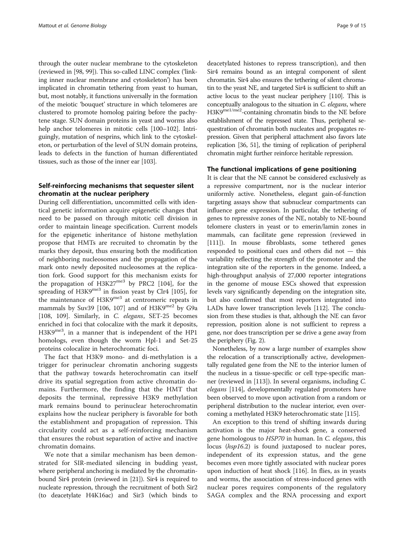through the outer nuclear membrane to the cytoskeleton (reviewed in [[98](#page-13-0), [99\]](#page-13-0)). This so-called LINC complex ('linking inner nuclear membrane and cytoskeleton') has been implicated in chromatin tethering from yeast to human, but, most notably, it functions universally in the formation of the meiotic 'bouquet' structure in which telomeres are clustered to promote homolog pairing before the pachytene stage. SUN domain proteins in yeast and worms also help anchor telomeres in mitotic cells [[100](#page-13-0)–[102\]](#page-13-0). Intriguingly, mutation of nesprins, which link to the cytoskeleton, or perturbation of the level of SUN domain proteins, leads to defects in the function of human differentiated tissues, such as those of the inner ear [[103](#page-13-0)].

# Self-reinforcing mechanisms that sequester silent chromatin at the nuclear periphery

During cell differentiation, uncommitted cells with identical genetic information acquire epigenetic changes that need to be passed on through mitotic cell division in order to maintain lineage specification. Current models for the epigenetic inheritance of histone methylation propose that HMTs are recruited to chromatin by the marks they deposit, thus ensuring both the modification of neighboring nucleosomes and the propagation of the mark onto newly deposited nucleosomes at the replication fork. Good support for this mechanism exists for the propagation of H3K27me3 by PRC2 [[104](#page-13-0)], for the spreading of H3K9me<sup>3</sup> in fission yeast by Clr4 [\[105\]](#page-13-0), for the maintenance of H3K9me3 at centromeric repeats in mammals by Suv39 [[106](#page-13-0), [107](#page-13-0)] and of  $H3K9^{me2}$  by G9a [[108, 109\]](#page-13-0). Similarly, in C. elegans, SET-25 becomes enriched in foci that colocalize with the mark it deposits, H3K9me3, in a manner that is independent of the HP1 homologs, even though the worm Hpl-1 and Set-25 proteins colocalize in heterochromatic foci.

The fact that H3K9 mono- and di-methylation is a trigger for perinuclear chromatin anchoring suggests that the pathway towards heterochromatin can itself drive its spatial segregation from active chromatin domains. Furthermore, the finding that the HMT that deposits the terminal, repressive H3K9 methylation mark remains bound to perinuclear heterochromatin explains how the nuclear periphery is favorable for both the establishment and propagation of repression. This circularity could act as a self-reinforcing mechanism that ensures the robust separation of active and inactive chromatin domains.

We note that a similar mechanism has been demonstrated for SIR-mediated silencing in budding yeast, where peripheral anchoring is mediated by the chromatinbound Sir4 protein (reviewed in [\[21](#page-12-0)]). Sir4 is required to nucleate repression, through the recruitment of both Sir2 (to deacetylate H4K16ac) and Sir3 (which binds to

deacetylated histones to repress transcription), and then Sir4 remains bound as an integral component of silent chromatin. Sir4 also ensures the tethering of silent chromatin to the yeast NE, and targeted Sir4 is sufficient to shift an active locus to the yeast nuclear periphery [\[110](#page-13-0)]. This is conceptually analogous to the situation in C. elegans, where H3K9me1/me2-containing chromatin binds to the NE before establishment of the repressed state. Thus, peripheral sequestration of chromatin both nucleates and propagates repression. Given that peripheral attachment also favors late replication [[36](#page-12-0), [51](#page-12-0)], the timing of replication of peripheral chromatin might further reinforce heritable repression.

#### The functional implications of gene positioning

It is clear that the NE cannot be considered exclusively as a repressive compartment, nor is the nuclear interior uniformly active. Nonetheless, elegant gain-of-function targeting assays show that subnuclear compartments can influence gene expression. In particular, the tethering of genes to repressive zones of the NE, notably to NE-bound telomere clusters in yeast or to emerin/lamin zones in mammals, can facilitate gene repression (reviewed in [[111](#page-13-0)]). In mouse fibroblasts, some tethered genes responded to positional cues and others did not — this variability reflecting the strength of the promoter and the integration site of the reporters in the genome. Indeed, a high-throughput analysis of 27,000 reporter integrations in the genome of mouse ESCs showed that expression levels vary significantly depending on the integration site, but also confirmed that most reporters integrated into LADs have lower transcription levels [[112](#page-13-0)]. The conclusion from these studies is that, although the NE can favor repression, position alone is not sufficient to repress a gene, nor does transcription per se drive a gene away from the periphery (Fig. [2](#page-6-0)).

Nonetheless, by now a large number of examples show the relocation of a transcriptionally active, developmentally regulated gene from the NE to the interior lumen of the nucleus in a tissue-specific or cell type-specific manner (reviewed in [\[113\]](#page-13-0)). In several organisms, including C. elegans [\[114\]](#page-13-0), developmentally regulated promoters have been observed to move upon activation from a random or peripheral distribution to the nuclear interior, even overcoming a methylated H3K9 heterochromatic state [\[115\]](#page-13-0).

An exception to this trend of shifting inwards during activation is the major heat-shock gene, a conserved gene homologous to HSP70 in human. In C. elegans, this locus (hsp16.2) is found juxtaposed to nuclear pores, independent of its expression status, and the gene becomes even more tightly associated with nuclear pores upon induction of heat shock [\[116\]](#page-13-0). In flies, as in yeasts and worms, the association of stress-induced genes with nuclear pores requires components of the regulatory SAGA complex and the RNA processing and export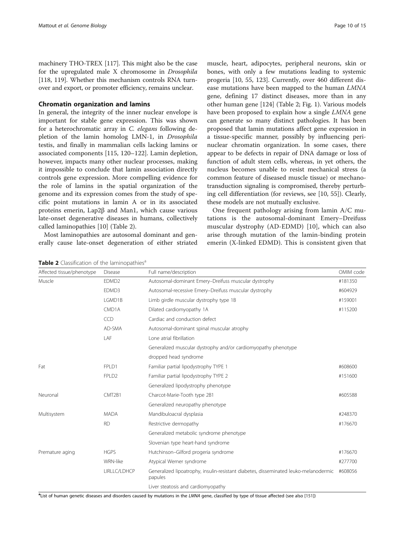machinery THO-TREX [\[117](#page-13-0)]. This might also be the case for the upregulated male X chromosome in Drosophila [[118](#page-13-0), [119](#page-13-0)]. Whether this mechanism controls RNA turnover and export, or promoter efficiency, remains unclear.

#### Chromatin organization and lamins

In general, the integrity of the inner nuclear envelope is important for stable gene expression. This was shown for a heterochromatic array in C. elegans following depletion of the lamin homolog LMN-1, in Drosophila testis, and finally in mammalian cells lacking lamins or associated components [\[115](#page-13-0), [120](#page-14-0)–[122\]](#page-14-0). Lamin depletion, however, impacts many other nuclear processes, making it impossible to conclude that lamin association directly controls gene expression. More compelling evidence for the role of lamins in the spatial organization of the genome and its expression comes from the study of specific point mutations in lamin A or in its associated proteins emerin, Lap2β and Man1, which cause various late-onset degenerative diseases in humans, collectively called laminopathies [\[10](#page-11-0)] (Table 2).

Most laminopathies are autosomal dominant and generally cause late-onset degeneration of either striated

muscle, heart, adipocytes, peripheral neurons, skin or bones, with only a few mutations leading to systemic progeria [\[10](#page-11-0), [55,](#page-12-0) [123](#page-14-0)]. Currently, over 460 different disease mutations have been mapped to the human LMNA gene, defining 17 distinct diseases, more than in any other human gene [[124\]](#page-14-0) (Table 2; Fig. [1](#page-4-0)). Various models have been proposed to explain how a single LMNA gene can generate so many distinct pathologies. It has been proposed that lamin mutations affect gene expression in a tissue-specific manner, possibly by influencing perinuclear chromatin organization. In some cases, there appear to be defects in repair of DNA damage or loss of function of adult stem cells, whereas, in yet others, the nucleus becomes unable to resist mechanical stress (a common feature of diseased muscle tissue) or mechanotransduction signaling is compromised, thereby perturbing cell differentiation (for reviews, see [\[10](#page-11-0), [55](#page-12-0)]). Clearly, these models are not mutually exclusive.

One frequent pathology arising from lamin A/C mutations is the autosomal-dominant Emery–Dreifuss muscular dystrophy (AD-EDMD) [\[10](#page-11-0)], which can also arise through mutation of the lamin-binding protein emerin (X-linked EDMD). This is consistent given that

| Affected tissue/phenotype | Disease                            | Full name/description                                                                           | OMIM code |  |
|---------------------------|------------------------------------|-------------------------------------------------------------------------------------------------|-----------|--|
| Muscle                    | EDMD <sub>2</sub>                  | Autosomal-dominant Emery-Dreifuss muscular dystrophy                                            | #181350   |  |
|                           | EDMD3                              | Autosomal-recessive Emery-Dreifuss muscular dystrophy                                           |           |  |
|                           | LGMD1B                             | Limb girdle muscular dystrophy type 1B                                                          |           |  |
|                           | CMD <sub>1</sub> A                 | Dilated cardiomyopathy 1A                                                                       | #115200   |  |
|                           | <b>CCD</b>                         | Cardiac and conduction defect                                                                   |           |  |
|                           | AD-SMA                             | Autosomal-dominant spinal muscular atrophy                                                      |           |  |
|                           | LAF<br>Lone atrial fibrillation    |                                                                                                 |           |  |
|                           |                                    | Generalized muscular dystrophy and/or cardiomyopathy phenotype                                  |           |  |
|                           |                                    | dropped head syndrome                                                                           |           |  |
| Fat                       | FPLD1                              | Familiar partial lipodystrophy TYPE 1                                                           | #608600   |  |
|                           | FPLD <sub>2</sub>                  | Familiar partial lipodystrophy TYPE 2                                                           | #151600   |  |
|                           |                                    | Generalized lipodystrophy phenotype                                                             |           |  |
| Neuronal                  | CMT2B1                             | Charcot-Marie-Tooth type 2B1                                                                    | #605588   |  |
|                           |                                    | Generalized neuropathy phenotype                                                                |           |  |
| Multisystem               | <b>MADA</b>                        | Mandibuloacral dysplasia                                                                        | #248370   |  |
|                           | <b>RD</b>                          | Restrictive dermopathy                                                                          | #176670   |  |
|                           |                                    | Generalized metabolic syndrome phenotype                                                        |           |  |
|                           |                                    | Slovenian type heart-hand syndrome                                                              |           |  |
| Premature aging           | <b>HGPS</b>                        | Hutchinson-Gilford progeria syndrome                                                            | #176670   |  |
|                           | WRN-like                           | Atypical Werner syndrome                                                                        | #277700   |  |
|                           | LIRLLC/LDHCP                       | Generalized lipoatrophy, insulin-resistant diabetes, disseminated leuko-melanodermic<br>papules | #608056   |  |
|                           | Liver steatosis and cardiomyopathy |                                                                                                 |           |  |

Table 2 Classification of the laminopathies<sup>a</sup>

a<br>List of human genetic diseases and disorders caused by mutations in the LMNA gene, classified by type of tissue affected (see also [[151\]](#page-14-0))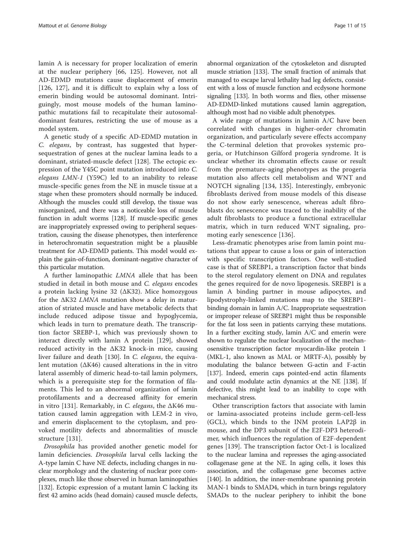lamin A is necessary for proper localization of emerin at the nuclear periphery [\[66](#page-12-0), [125](#page-14-0)]. However, not all AD-EDMD mutations cause displacement of emerin [[126, 127\]](#page-14-0), and it is difficult to explain why a loss of emerin binding would be autosomal dominant. Intriguingly, most mouse models of the human laminopathic mutations fail to recapitulate their autosomaldominant features, restricting the use of mouse as a model system.

A genetic study of a specific AD-EDMD mutation in C. elegans, by contrast, has suggested that hypersequestration of genes at the nuclear lamina leads to a dominant, striated-muscle defect [[128](#page-14-0)]. The ectopic expression of the Y45C point mutation introduced into C. elegans LMN-1 (Y59C) led to an inability to release muscle-specific genes from the NE in muscle tissue at a stage when these promoters should normally be induced. Although the muscles could still develop, the tissue was misorganized, and there was a noticeable loss of muscle function in adult worms [\[128\]](#page-14-0). If muscle-specific genes are inappropriately expressed owing to peripheral sequestration, causing the disease phenotypes, then interference in heterochromatin sequestration might be a plausible treatment for AD-EDMD patients. This model would explain the gain-of-function, dominant-negative character of this particular mutation.

A further laminopathic LMNA allele that has been studied in detail in both mouse and C. elegans encodes a protein lacking lysine 32 (ΔK32). Mice homozygous for the ΔK32 LMNA mutation show a delay in maturation of striated muscle and have metabolic defects that include reduced adipose tissue and hypoglycemia, which leads in turn to premature death. The transcription factor SREBP-1, which was previously shown to interact directly with lamin A protein [[129\]](#page-14-0), showed reduced activity in the ΔK32 knock-in mice, causing liver failure and death [[130\]](#page-14-0). In C. elegans, the equivalent mutation (ΔK46) caused alterations in the in vitro lateral assembly of dimeric head-to-tail lamin polymers, which is a prerequisite step for the formation of filaments. This led to an abnormal organization of lamin protofilaments and a decreased affinity for emerin in vitro [[131\]](#page-14-0). Remarkably, in C. elegans, the  $\Delta$ K46 mutation caused lamin aggregation with LEM-2 in vivo, and emerin displacement to the cytoplasm, and provoked motility defects and abnormalities of muscle structure [[131\]](#page-14-0).

Drosophila has provided another genetic model for lamin deficiencies. Drosophila larval cells lacking the A-type lamin C have NE defects, including changes in nuclear morphology and the clustering of nuclear pore complexes, much like those observed in human laminopathies [[132](#page-14-0)]. Ectopic expression of a mutant lamin C lacking its first 42 amino acids (head domain) caused muscle defects, abnormal organization of the cytoskeleton and disrupted muscle striation [\[133](#page-14-0)]. The small fraction of animals that managed to escape larval lethality had leg defects, consistent with a loss of muscle function and ecdysone hormone signaling [\[133\]](#page-14-0). In both worms and flies, other missense AD-EDMD-linked mutations caused lamin aggregation, although most had no visible adult phenotypes.

A wide range of mutations in lamin A/C have been correlated with changes in higher-order chromatin organization, and particularly severe effects accompany the C-terminal deletion that provokes systemic progeria, or Hutchinson Gilford progeria syndrome. It is unclear whether its chromatin effects cause or result from the premature-aging phenotypes as the progeria mutation also affects cell metabolism and WNT and NOTCH signaling [\[134, 135\]](#page-14-0). Interestingly, embryonic fibroblasts derived from mouse models of this disease do not show early senescence, whereas adult fibroblasts do; senescence was traced to the inability of the adult fibroblasts to produce a functional extracellular matrix, which in turn reduced WNT signaling, promoting early senescence [\[136\]](#page-14-0).

Less-dramatic phenotypes arise from lamin point mutations that appear to cause a loss or gain of interaction with specific transcription factors. One well-studied case is that of SREBP1, a transcription factor that binds to the sterol regulatory element on DNA and regulates the genes required for de novo lipogenesis. SREBP1 is a lamin A binding partner in mouse adipocytes, and lipodystrophy-linked mutations map to the SREBP1 binding domain in lamin A/C. Inappropriate sequestration or improper release of SREBP1 might thus be responsible for the fat loss seen in patients carrying these mutations. In a further exciting study, lamin A/C and emerin were shown to regulate the nuclear localization of the mechanosensitive transcription factor myocardin-like protein 1 (MKL-1, also known as MAL or MRTF-A), possibly by modulating the balance between G-actin and F-actin [[137](#page-14-0)]. Indeed, emerin caps pointed-end actin filaments and could modulate actin dynamics at the NE [\[138\]](#page-14-0). If defective, this might lead to an inability to cope with mechanical stress.

Other transcription factors that associate with lamin or lamina-associated proteins include germ-cell-less (GCL), which binds to the INM protein LAP2β in mouse, and the DP3 subunit of the E2F-DP3 heterodimer, which influences the regulation of E2F-dependent genes [[139\]](#page-14-0). The transcription factor Oct-1 is localized to the nuclear lamina and represses the aging-associated collagenase gene at the NE. In aging cells, it loses this association, and the collagenase gene becomes active [[140](#page-14-0)]. In addition, the inner-membrane spanning protein MAN-1 binds to SMAD4, which in turn brings regulatory SMADs to the nuclear periphery to inhibit the bone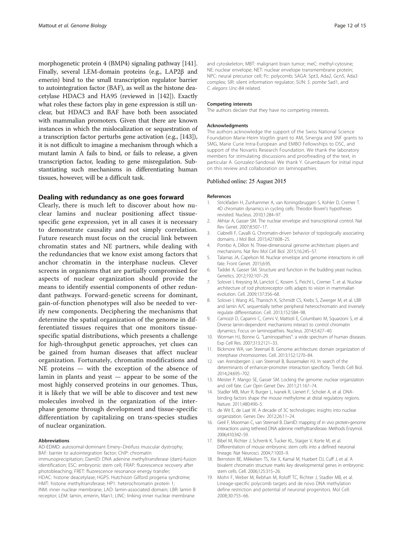<span id="page-11-0"></span>morphogenetic protein 4 (BMP4) signaling pathway [[141](#page-14-0)]. Finally, several LEM-domain proteins (e.g., LAP2β and emerin) bind to the small transcription regulator barrier to autointegration factor (BAF), as well as the histone deacetylase HDAC3 and HA95 (reviewed in [[142](#page-14-0)]). Exactly what roles these factors play in gene expression is still unclear, but HDAC3 and BAF have both been associated with mammalian promoters. Given that there are known instances in which the mislocalization or sequestration of a transcription factor perturbs gene activation (e.g., [[143](#page-14-0)]), it is not difficult to imagine a mechanism through which a mutant lamin A fails to bind, or fails to release, a given transcription factor, leading to gene misregulation. Substantiating such mechanisms in differentiating human tissues, however, will be a difficult task.

#### Dealing with redundancy as one goes forward

Clearly, there is much left to discover about how nuclear lamins and nuclear positioning affect tissuespecific gene expression, yet in all cases it is necessary to demonstrate causality and not simply correlation. Future research must focus on the crucial link between chromatin states and NE partners, while dealing with the redundancies that we know exist among factors that anchor chromatin in the interphase nucleus. Clever screens in organisms that are partially compromised for aspects of nuclear organization should provide the means to identify essential components of other redundant pathways. Forward-genetic screens for dominant, gain-of-function phenotypes will also be needed to verify new components. Deciphering the mechanisms that determine the spatial organization of the genome in differentiated tissues requires that one monitors tissuespecific spatial distributions, which presents a challenge for high-throughput genetic approaches, yet clues can be gained from human diseases that affect nuclear organization. Fortunately, chromatin modifications and NE proteins — with the exception of the absence of lamin in plants and yeast — appear to be some of the most highly conserved proteins in our genomes. Thus, it is likely that we will be able to discover and test new molecules involved in the organization of the interphase genome through development and tissue-specific differentiation by capitalizing on trans-species studies of nuclear organization.

#### Abbreviations

AD-EDMD: autosomal-dominant Emery–Dreifuss muscular dystrophy; BAF: barrier to autointegration factor; ChIP: chromatin immunoprecipitation; DamID: DNA adenine methyltransferase (dam)-fusion identification; ESC: embryonic stem cell; FRAP: fluorescence recovery after photobleaching; FRET: fluorescence resonance energy transfer; HDAC: histone deacetylase; HGPS: Hutchison Gilford progeria syndrome; HMT: histone methyltransferase; HP1: heterochromatin protein 1; INM: inner nuclear membrane; LAD: lamin-associated domain; LBR: lamin B receptor; LEM: lamin, emerin, Man1; LINC: linking inner nuclear membrane

and cytoskeleton; MBT: malignant brain tumor; meC: methyl-cytosine; NE: nuclear envelope; NET: nuclear envelope transmembrane protein; NPC: neural precursor cell; Pc: polycomb; SAGA: Spt3, Ada2, Gcn5, Ada3 complex; SIR: silent information regulator; SUN: S. pombe Sad1, and C. elegans Unc-84 related.

#### Competing interests

The authors declare that they have no competing interests.

#### Acknowledgments

The authors acknowledge the support of the Swiss National Science Foundation Marie-Heim Vogtlin grant to AM, Sinergia and SNF grants to SMG, Marie Curie Intra-European and EMBO Fellowships to DSC, and support of the Novartis Research Foundation. We thank the laboratory members for stimulating discussions and proofreading of the text, in particular A. Gonzalez-Sandoval. We thank Y. Gruenbaum for initial input on this review and collaboration on laminopathies.

#### Published online: 25 August 2015

#### References

- 1. Strickfaden H, Zunhammer A, van Koningsbruggen S, Kohler D, Cremer T. 4D chromatin dynamics in cycling cells: Theodor Boveri's hypotheses revisited. Nucleus. 2010;1:284–97.
- 2. Akhtar A, Gasser SM. The nuclear envelope and transcriptional control. Nat Rev Genet. 2007;8:507–17.
- 3. Ciabrelli F, Cavalli G. Chromatin-driven behavior of topologically associating domains. J Mol Biol. 2015;427:608–25.
- 4. Pombo A, Dillon N. Three-dimensional genome architecture: players and mechanisms. Nat Rev Mol Cell Biol. 2015;16:245–57.
- 5. Talamas JA, Capelson M. Nuclear envelope and genome interactions in cell fate. Front Genet. 2015;6:95.
- 6. Taddei A, Gasser SM. Structure and function in the budding yeast nucleus. Genetics. 2012;192:107–29.
- 7. Solovei I, Kreysing M, Lanctot C, Kosem S, Peichl L, Cremer T, et al. Nuclear architecture of rod photoreceptor cells adapts to vision in mammalian evolution. Cell. 2009;137:356–68.
- 8. Solovei I, Wang AS, Thanisch K, Schmidt CS, Krebs S, Zwerger M, et al. LBR and lamin A/C sequentially tether peripheral heterochromatin and inversely regulate differentiation. Cell. 2013;152:584–98.
- 9. Camozzi D, Capanni C, Cenni V, Mattioli E, Columbaro M, Squarzoni S, et al. Diverse lamin-dependent mechanisms interact to control chromatin dynamics. Focus on laminopathies. Nucleus. 2014;5:427–40.
- 10. Worman HJ, Bonne G. "Laminopathies": a wide spectrum of human diseases. Exp Cell Res. 2007;313:2121–33.
- 11. Bickmore WA, van Steensel B. Genome architecture: domain organization of interphase chromosomes. Cell. 2013;152:1270–84.
- 12. van Arensbergen J, van Steensel B, Bussemaker HJ. In search of the determinants of enhancer-promoter interaction specificity. Trends Cell Biol. 2014;24:695–702.
- 13. Meister P, Mango SE, Gasser SM. Locking the genome: nuclear organization and cell fate. Curr Opin Genet Dev. 2011;21:167–74.
- 14. Stadler MB, Murr R, Burger L, Ivanek R, Lienert F, Scholer A, et al. DNAbinding factors shape the mouse methylome at distal regulatory regions. Nature. 2011;480:490–5.
- 15. de Wit E, de Laat W. A decade of 3C technologies: insights into nuclear organization. Genes Dev. 2012;26:11–24.
- 16. Greil F, Moorman C, van Steensel B. DamID: mapping of in vivo protein-genome interactions using tethered DNA adenine methyltransferase. Methods Enzymol. 2006;410:342–59.
- 17. Bibel M, Richter J, Schrenk K, Tucker KL, Staiger V, Korte M, et al. Differentiation of mouse embryonic stem cells into a defined neuronal lineage. Nat Neurosci. 2004;7:1003–9.
- 18. Bernstein BE, Mikkelsen TS, Xie X, Kamal M, Huebert DJ, Cuff J, et al. A bivalent chromatin structure marks key developmental genes in embryonic stem cells. Cell. 2006;125:315–26.
- 19. Mohn F, Weber M, Rebhan M, Roloff TC, Richter J, Stadler MB, et al. Lineage-specific polycomb targets and de novo DNA methylation define restriction and potential of neuronal progenitors. Mol Cell. 2008;30:755–66.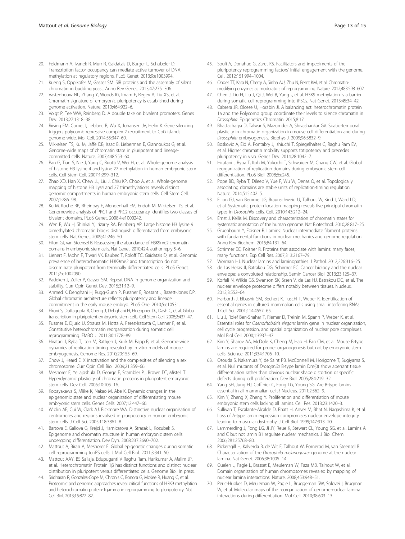- <span id="page-12-0"></span>20. Feldmann A, Ivanek R, Murr R, Gaidatzis D, Burger L, Schubeler D. Transcription factor occupancy can mediate active turnover of DNA methylation at regulatory regions. PLoS Genet. 2013;9:e1003994.
- 21. Kueng S, Oppikofer M, Gasser SM, SIR proteins and the assembly of silent chromatin in budding yeast. Annu Rev Genet. 2013;47:275–306.
- 22. Vastenhouw NL, Zhang Y, Woods IG, Imam F, Regev A, Liu XS, et al. Chromatin signature of embryonic pluripotency is established during genome activation. Nature. 2010;464:922–6.
- 23. Voigt P, Tee WW, Reinberg D. A double take on bivalent promoters. Genes Dev. 2013;27:1318–38.
- 24. Riising EM, Comet I, Leblanc B, Wu X, Johansen JV, Helin K. Gene silencing triggers polycomb repressive complex 2 recruitment to CpG islands genome wide. Mol Cell. 2014;55:347–60.
- 25. Mikkelsen TS, Ku M, Jaffe DB, Issac B, Lieberman E, Giannoukos G, et al. Genome-wide maps of chromatin state in pluripotent and lineagecommitted cells. Nature. 2007;448:553–60.
- 26. Pan G, Tian S, Nie J, Yang C, Ruotti V, Wei H, et al. Whole-genome analysis of histone H3 lysine 4 and lysine 27 methylation in human embryonic stem cells. Cell Stem Cell. 2007;1:299–312.
- 27. Zhao XD, Han X, Chew JL, Liu J, Chiu KP, Choo A, et al. Whole-genome mapping of histone H3 Lys4 and 27 trimethylations reveals distinct genomic compartments in human embryonic stem cells. Cell Stem Cell. 2007;1:286–98.
- 28. Ku M, Koche RP, Rheinbay E, Mendenhall EM, Endoh M, Mikkelsen TS, et al. Genomewide analysis of PRC1 and PRC2 occupancy identifies two classes of bivalent domains. PLoS Genet. 2008;4:e1000242.
- 29. Wen B, Wu H, Shinkai Y, Irizarry RA, Feinberg AP. Large histone H3 lysine 9 dimethylated chromatin blocks distinguish differentiated from embryonic stem cells. Nat Genet. 2009;41:246–50.
- 30. Filion GJ, van Steensel B. Reassessing the abundance of H3K9me2 chromatin domains in embryonic stem cells. Nat Genet. 2010;42:4. author reply 5–6.
- 31. Lienert F, Mohn F, Tiwari VK, Baubec T, Roloff TC, Gaidatzis D, et al. Genomic prevalence of heterochromatic H3K9me2 and transcription do not discriminate pluripotent from terminally differentiated cells. PLoS Genet. 2011;7:e1002090.
- 32. Padeken J, Zeller P, Gasser SM. Repeat DNA in genome organization and stability. Curr Opin Genet Dev. 2015;31:12–9.
- 33. Ahmed K, Dehghani H, Rugg-Gunn P, Fussner E, Rossant J, Bazett-Jones DP. Global chromatin architecture reflects pluripotency and lineage commitment in the early mouse embryo. PLoS One. 2010;5:e10531.
- 34. Efroni S, Duttagupta R, Cheng J, Dehghani H, Hoeppner DJ, Dash C, et al. Global transcription in pluripotent embryonic stem cells. Cell Stem Cell. 2008;2:437–47.
- 35. Fussner E, Djuric U, Strauss M, Hotta A, Perez-Iratxeta C, Lanner F, et al. Constitutive heterochromatin reorganization during somatic cell reprogramming. EMBO J. 2011;30:1778–89.
- 36. Hiratani I, Ryba T, Itoh M, Rathjen J, Kulik M, Papp B, et al. Genome-wide dynamics of replication timing revealed by in vitro models of mouse embryogenesis. Genome Res. 2010;20:155–69.
- 37. Chow J, Heard E. X inactivation and the complexities of silencing a sex chromosome. Curr Opin Cell Biol. 2009;21:359–66.
- 38. Meshorer E, Yellajoshula D, George E, Scambler PJ, Brown DT, Misteli T. Hyperdynamic plasticity of chromatin proteins in pluripotent embryonic stem cells. Dev Cell. 2006;10:105–16.
- 39. Kobayakawa S, Miike K, Nakao M, Abe K. Dynamic changes in the epigenomic state and nuclear organization of differentiating mouse embryonic stem cells. Genes Cells. 2007;12:447–60.
- 40. Wiblin AE, Cui W, Clark AJ, Bickmore WA. Distinctive nuclear organisation of centromeres and regions involved in pluripotency in human embryonic stem cells. J Cell Sci. 2005;118:3861–8.
- 41. Bartova E, Galiova G, Krejci J, Harnicarova A, Strasak L, Kozubek S. Epigenome and chromatin structure in human embryonic stem cells undergoing differentiation. Dev Dyn. 2008;237:3690–702.
- 42. Mattout A, Biran A, Meshorer E. Global epigenetic changes during somatic cell reprogramming to iPS cells. J Mol Cell Biol. 2011;3:341–50.
- 43. Mattout AAY, BS Sailaja, Edupuganti V Raghu Ram, Harikumar A, Mallm JP, et al. Heterochromatin Protein 1β has distinct functions and distinct nuclear distribution in pluripotent versus differentiated cells. Genome Biol. In press.
- 44. Sridharan R, Gonzales-Cope M, Chronis C, Bonora G, McKee R, Huang C, et al. Proteomic and genomic approaches reveal critical functions of H3K9 methylation and heterochromatin protein-1gamma in reprogramming to pluripotency. Nat Cell Biol. 2013;15:872–82.
- 45. Soufi A, Donahue G, Zaret KS. Facilitators and impediments of the pluripotency reprogramming factors' initial engagement with the genome. Cell. 2012;151:994–1004.
- 46. Onder TT, Kara N, Cherry A, Sinha AU, Zhu N, Bernt KM, et al. Chromatinmodifying enzymes as modulators of reprogramming. Nature. 2012;483:598–602.
- 47. Chen J, Liu H, Liu J, Qi J, Wei B, Yang J, et al. H3K9 methylation is a barrier during somatic cell reprogramming into iPSCs. Nat Genet. 2013;45:34–42.
- 48. Cabrera JR, Olcese U, Horabin JI. A balancing act: heterochromatin protein 1a and the Polycomb group coordinate their levels to silence chromatin in Drosophila. Epigenetics Chromatin. 2015;8:17.
- 49. Bhattacharya D, Talwar S, Mazumder A, Shivashankar GV. Spatio-temporal plasticity in chromatin organization in mouse cell differentiation and during Drosophila embryogenesis. Biophys J. 2009;96:3832–9.
- 50. Boskovic A, Eid A, Pontabry J, Ishiuchi T, Spiegelhalter C, Raghu Ram EV, et al. Higher chromatin mobility supports totipotency and precedes pluripotency in vivo. Genes Dev. 2014;28:1042–7.
- 51. Hiratani I, Ryba T, Itoh M, Yokochi T, Schwaiger M, Chang CW, et al. Global reorganization of replication domains during embryonic stem cell differentiation. PLoS Biol. 2008;6:e245.
- 52. Pope BD, Ryba T, Dileep V, Yue F, Wu W, Denas O, et al. Topologically associating domains are stable units of replication-timing regulation. Nature. 2014;515:402–5.
- 53. Filion GJ, van Bemmel JG, Braunschweig U, Talhout W, Kind J, Ward LD, et al. Systematic protein location mapping reveals five principal chromatin types in Drosophila cells. Cell. 2010;143:212–24.
- 54. Ernst J, Kellis M. Discovery and characterization of chromatin states for systematic annotation of the human genome. Nat Biotechnol. 2010;28:817–25.
- 55. Gruenbaum Y, Foisner R. Lamins: Nuclear intermediate filament proteins with fundamental functions in nuclear mechanics and genome regulation. Annu Rev Biochem. 2015;84:131–64.
- 56. Schirmer EC, Foisner R. Proteins that associate with lamins: many faces, many functions. Exp Cell Res. 2007;313:2167–79.
- 57. Worman HJ. Nuclear lamins and laminopathies. J Pathol. 2012;226:316–25.
- 58. de Las Heras JI, Batrakou DG, Schirmer EC. Cancer biology and the nuclear envelope: a convoluted relationship. Semin Cancer Biol. 2013;23:125–37.
- 59. Korfali N, Wilkie GS, Swanson SK, Srsen V, de Las HJ, Batrakou DG, et al. The nuclear envelope proteome differs notably between tissues. Nucleus. 2012;3:552–64.
- 60. Harborth J, Elbashir SM, Bechert K, Tuschl T, Weber K. Identification of essential genes in cultured mammalian cells using small interfering RNAs. J Cell Sci. 2001;114:4557–65.
- 61. Liu J, Rolef Ben-Shahar T, Riemer D, Treinin M, Spann P, Weber K, et al. Essential roles for Caenorhabditis elegans lamin gene in nuclear organization, cell cycle progression, and spatial organization of nuclear pore complexes. Mol Biol Cell. 2000;1:3937–47.
- 62. Kim Y, Sharov AA, McDole K, Cheng M, Hao H, Fan CM, et al. Mouse B-type lamins are required for proper organogenesis but not by embryonic stem cells. Science. 2011;334:1706–10.
- 63. Osouda S, Nakamura Y, de Saint PB, McConnell M, Horigome T, Sugiyama S, et al. Null mutants of Drosophila B-type lamin Dm(0) show aberrant tissue differentiation rather than obvious nuclear shape distortion or specific defects during cell proliferation. Dev Biol. 2005;284:219–32.
- 64. Yang SH, Jung HJ, Coffinier C, Fong LG, Young SG. Are B-type lamins essential in all mammalian cells? Nucleus. 2011;2:562–9.
- 65. Kim Y, Zheng X, Zheng Y. Proliferation and differentiation of mouse embryonic stem cells lacking all lamins. Cell Res. 2013;23:1420–3.
- 66. Sullivan T, Escalante-Alcalde D, Bhatt H, Anver M, Bhat N, Nagashima K, et al. Loss of A-type lamin expression compromises nuclear envelope integrity leading to muscular dystrophy. J Cell Biol. 1999;147:913–20.
- 67. Lammerding J, Fong LG, Ji JY, Reue K, Stewart CL, Young SG, et al. Lamins A and C but not lamin B1 regulate nuclear mechanics. J Biol Chem. 2006;281:25768–80.
- 68. Pickersgill H, Kalverda B, de Wit E, Talhout W, Fornerod M, van Steensel B. Characterization of the Drosophila melanogaster genome at the nuclear lamina. Nat Genet. 2006;38:1005–14.
- 69. Guelen L, Pagie L, Brasset E, Meuleman W, Faza MB, Talhout W, et al. Domain organization of human chromosomes revealed by mapping of nuclear lamina interactions. Nature. 2008;453:948–51.
- 70. Peric-Hupkes D, Meuleman W, Pagie L, Bruggeman SW, Solovei I, Brugman W, et al. Molecular maps of the reorganization of genome-nuclear lamina interactions during differentiation. Mol Cell. 2010;38:603–13.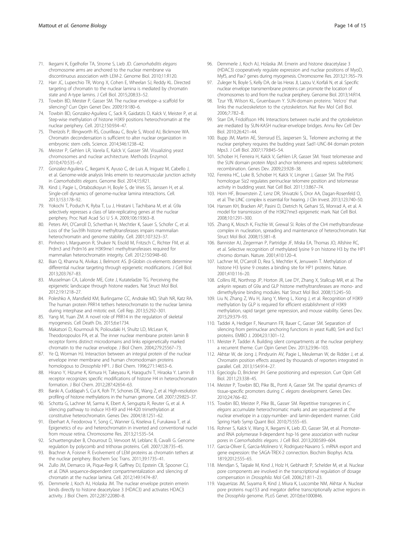- <span id="page-13-0"></span>71. Ikegami K, Egelhofer TA, Strome S, Lieb JD. Caenorhabditis elegans chromosome arms are anchored to the nuclear membrane via discontinuous association with LEM-2. Genome Biol. 2010;11:R120.
- 72. Harr JC, Luperchio TR, Wong X, Cohen E, Wheelan SJ, Reddy KL. Directed targeting of chromatin to the nuclear lamina is mediated by chromatin state and A-type lamins. J Cell Biol. 2015;208:33–52.
- 73. Towbin BD, Meister P, Gasser SM. The nuclear envelope–a scaffold for silencing? Curr Opin Genet Dev. 2009;19:180–6.
- 74. Towbin BD, Gonzalez-Aguilera C, Sack R, Gaidatzis D, Kalck V, Meister P, et al. Step-wise methylation of histone H3K9 positions heterochromatin at the nuclear periphery. Cell. 2012;150:934–47.
- 75. Therizols P, Illingworth RS, Courilleau C, Boyle S, Wood AJ, Bickmore WA. Chromatin decondensation is sufficient to alter nuclear organization in embryonic stem cells. Science. 2014;346:1238–42.
- 76. Meister P, Gehlen LR, Varela E, Kalck V, Gasser SM. Visualizing yeast chromosomes and nuclear architecture. Methods Enzymol. 2010;470:535–67.
- 77. Gonzalez-Aguilera C, Ikegami K, Ayuso C, de Luis A, Iniguez M, Cabello J, et al. Genome-wide analysis links emerin to neuromuscular junction activity in Caenorhabditis elegans. Genome Biol. 2014;15:R21.
- 78. Kind J, Pagie L, Ortabozkoyun H, Boyle S, de Vries SS, Janssen H, et al. Single-cell dynamics of genome-nuclear lamina interactions. Cell. 2013;153:178–92.
- 79. Yokochi T, Poduch K, Ryba T, Lu J, Hiratani I, Tachibana M, et al. G9a selectively represses a class of late-replicating genes at the nuclear periphery. Proc Natl Acad Sci U S A. 2009;106:19363–8.
- 80. Peters AH, O'Carroll D, Scherthan H, Mechtler K, Sauer S, Schofer C, et al. Loss of the Suv39h histone methyltransferases impairs mammalian heterochromatin and genome stability. Cell. 2001;107:323–37.
- 81. Pinheiro I, Marqueron R, Shukeir N, Eisold M, Fritzsch C, Richter FM, et al. Prdm3 and Prdm16 are H3K9me1 methyltransferases required for mammalian heterochromatin integrity. Cell. 2012;150:948–60.
- 82. Bian Q, Khanna N, Alvikas J, Belmont AS. β-Globin cis-elements determine differential nuclear targeting through epigenetic modifications. J Cell Biol. 2013;203:767–83.
- 83. Musselman CA, Lalonde ME, Cote J, Kutateladze TG. Perceiving the epigenetic landscape through histone readers. Nat Struct Mol Biol. 2012;19:1218–27.
- 84. Poleshko A, Mansfield KM, Burlingame CC, Andrake MD, Shah NR, Katz RA. The human protein PRR14 tethers heterochromatin to the nuclear lamina during interphase and mitotic exit. Cell Rep. 2013;5:292–301.
- 85. Yang M, Yuan ZM. A novel role of PRR14 in the regulation of skeletal myogenesis. Cell Death Dis. 2015;6:e1734.
- 86. Makatsori D, Kourmouli N, Polioudaki H, Shultz LD, McLean K, Theodoropoulos PA, et al. The inner nuclear membrane protein lamin B receptor forms distinct microdomains and links epigenetically marked chromatin to the nuclear envelope. J Biol Chem. 2004;279:25567–73.
- 87. Ye Q, Worman HJ. Interaction between an integral protein of the nuclear envelope inner membrane and human chromodomain proteins homologous to Drosophila HP1. J Biol Chem. 1996;271:14653–6.
- 88. Hirano Y, Hizume K, Kimura H, Takeyasu K, Haraguchi T, Hiraoka Y. Lamin B receptor recognizes specific modifications of histone H4 in heterochromatin formation. J Biol Chem. 2012;287:42654–63.
- 89. Barski A, Cuddapah S, Cui K, Roh TY, Schones DE, Wang Z, et al. High-resolution profiling of histone methylations in the human genome. Cell. 2007;129:823–37.
- 90. Schotta G, Lachner M, Sarma K, Ebert A, Sengupta R, Reuter G, et al. A silencing pathway to induce H3-K9 and H4-K20 trimethylation at constitutive heterochromatin. Genes Dev. 2004;18:1251–62.
- 91. Eberhart A, Feodorova Y, Song C, Wanner G, Kiseleva E, Furukawa T, et al. Epigenetics of eu- and heterochromatin in inverted and conventional nuclei from mouse retina. Chromosome Res. 2013;21:535–54.
- 92. Schuettengruber B, Chourrout D, Vervoort M, Leblanc B, Cavalli G. Genome regulation by polycomb and trithorax proteins. Cell. 2007;128:735–45.
- 93. Brachner A, Foisner R. Evolvement of LEM proteins as chromatin tethers at the nuclear periphery. Biochem Soc Trans. 2011;39:1735–41.
- 94. Zullo JM, Demarco IA, Pique-Regi R, Gaffney DJ, Epstein CB, Spooner CJ, et al. DNA sequence-dependent compartmentalization and silencing of chromatin at the nuclear lamina. Cell. 2012;149:1474–87.
- 95. Demmerle J, Koch AJ, Holaska JM. The nuclear envelope protein emerin binds directly to histone deacetylase 3 (HDAC3) and activates HDAC3 activity. J Biol Chem. 2012;287:22080–8.
- 96. Demmerle J, Koch AJ, Holaska JM. Emerin and histone deacetylase 3 (HDAC3) cooperatively regulate expression and nuclear positions of MyoD, Myf5, and Pax7 genes during myogenesis. Chromosome Res. 2013;21:765–79.
- 97. Zuleger N, Boyle S, Kelly DA, de las Heras JI, Lazou V, Korfali N, et al. Specific nuclear envelope transmembrane proteins can promote the location of chromosomes to and from the nuclear periphery. Genome Biol. 2013;14:R14.
- 98. Tzur YB, Wilson KL, Gruenbaum Y. SUN-domain proteins: 'Velcro' that links the nucleoskeleton to the cytoskeleton. Nat Rev Mol Cell Biol. 2006;7:782–8.
- 99. Starr DA, Fridolfsson HN. Interactions between nuclei and the cytoskeleton are mediated by SUN-KASH nuclear-envelope bridges. Annu Rev Cell Dev Biol. 2010;26:421–44.
- 100. Bupp JM, Martin AE, Stensrud ES, Jaspersen SL. Telomere anchoring at the nuclear periphery requires the budding yeast Sad1-UNC-84 domain protein Mps3. J Cell Biol. 2007;179:845–54.
- 101. Schober H, Ferreira H, Kalck V, Gehlen LR, Gasser SM. Yeast telomerase and the SUN domain protein Mps3 anchor telomeres and repress subtelomeric recombination. Genes Dev. 2009;23:928–38.
- 102. Ferreira HC, Luke B, Schober H, Kalck V, Lingner J, Gasser SM. The PIAS homologue Siz2 regulates perinuclear telomere position and telomerase activity in budding yeast. Nat Cell Biol. 2011;13:867–74.
- 103. Horn HF, Brownstein Z, Lenz DR, Shivatzki S, Dror AA, Dagan-Rosenfeld O, et al. The LINC complex is essential for hearing. J Clin Invest. 2013;123:740–50.
- 104. Hansen KH, Bracken AP, Pasini D, Dietrich N, Gehani SS, Monrad A, et al. A model for transmission of the H3K27me3 epigenetic mark. Nat Cell Biol. 2008;10:1291–300.
- 105. Zhang K, Mosch K, Fischle W, Grewal SI. Roles of the Clr4 methyltransferase complex in nucleation, spreading and maintenance of heterochromatin. Nat Struct Mol Biol. 2008;15:381–8.
- 106. Bannister AJ, Zegerman P, Partridge JF, Miska EA, Thomas JO, Allshire RC, et al. Selective recognition of methylated lysine 9 on histone H3 by the HP1 chromo domain. Nature. 2001;410:120–4.
- 107. Lachner M, O'Carroll D, Rea S, Mechtler K, Jenuwein T. Methylation of histone H3 lysine 9 creates a binding site for HP1 proteins. Nature. 2001;410:116–20.
- 108. Collins RE, Northrop JP, Horton JR, Lee DY, Zhang X, Stallcup MR, et al. The ankyrin repeats of G9a and GLP histone methyltransferases are mono- and dimethyllysine binding modules. Nat Struct Mol Biol. 2008;15:245–50.
- 109. Liu N, Zhang Z, Wu H, Jiang Y, Meng L, Xiong J, et al. Recognition of H3K9 methylation by GLP is required for efficient establishment of H3K9 methylation, rapid target gene repression, and mouse viability. Genes Dev. 2015;29:379–93.
- 110. Taddei A, Hediger F, Neumann FR, Bauer C, Gasser SM. Separation of silencing from perinuclear anchoring functions in yeast Ku80, Sir4 and Esc1 proteins. EMBO J. 2004;23:1301–12.
- 111. Meister P, Taddei A. Building silent compartments at the nuclear periphery: a recurrent theme. Curr Opin Genet Dev. 2013;23:96–103.
- 112. Akhtar W, de Jong J, Pindyurin AV, Pagie L, Meuleman W, de Ridder J, et al. Chromatin position effects assayed by thousands of reporters integrated in parallel. Cell. 2013;154:914–27.
- 113. Egecioglu D, Brickner JH. Gene positioning and expression. Curr Opin Cell Biol. 2011;23:338–45.
- 114. Meister P, Towbin BD, Pike BL, Ponti A, Gasser SM. The spatial dynamics of tissue-specific promoters during C. elegans development. Genes Dev. 2010;24:766–82.
- 115. Towbin BD, Meister P, Pike BL, Gasser SM. Repetitive transgenes in C. elegans accumulate heterochromatic marks and are sequestered at the nuclear envelope in a copy-number- and lamin-dependent manner. Cold Spring Harb Symp Quant Biol. 2010;75:555–65.
- 116. Rohner S, Kalck V, Wang X, Ikegami K, Lieb JD, Gasser SM, et al. Promoterand RNA polymerase II-dependent hsp-16 gene association with nuclear pores in Caenorhabditis elegans. J Cell Biol. 2013;200:589–604.
- 117. Garcia-Oliver E, Garcia-Molinero V, Rodriguez-Navarro S. mRNA export and gene expression: the SAGA-TREX-2 connection. Biochim Biophys Acta. 1819;2012:555–65.
- 118. Mendjan S, Taipale M, Kind J, Holz H, Gebhardt P, Schelder M, et al. Nuclear pore components are involved in the transcriptional regulation of dosage compensation in Drosophila. Mol Cell. 2006;21:811-23.
- 119. Vaquerizas JM, Suyama R, Kind J, Miura K, Luscombe NM, Akhtar A. Nuclear pore proteins nup153 and megator define transcriptionally active regions in the Drosophila genome. PLoS Genet. 2010;6:e1000846.